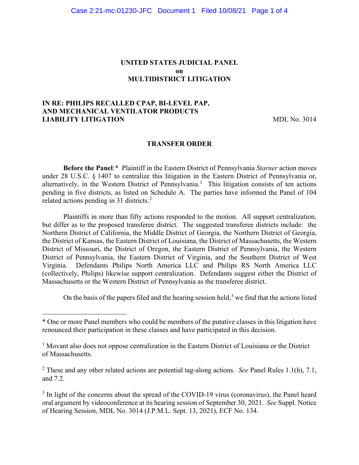#### **UNITED STATES JUDICIAL PANEL on MULTIDISTRICT LITIGATION**

## **IN RE: PHILIPS RECALLED CPAP, BI-LEVEL PAP, AND MECHANICAL VENTILATOR PRODUCTS LIABILITY LITIGATION** MDL No. 3014

#### **TRANSFER ORDER**

**Before the Panel**:[\\*](#page-0-0) Plaintiff in the Eastern District of Pennsylvania *Starner* action moves under 28 U.S.C. § 1407 to centralize this litigation in the Eastern District of Pennsylvania or, alternatively, in the Western District of Pennsylvania.<sup>[1](#page-0-1)</sup> This litigation consists of ten actions pending in five districts, as listed on Schedule A. The parties have informed the Panel of 104 related actions pending in 31 districts.<sup>[2](#page-0-2)</sup>

Plaintiffs in more than fifty actions responded to the motion. All support centralization, but differ as to the proposed transferee district. The suggested transferee districts include: the Northern District of California, the Middle District of Georgia, the Northern District of Georgia, the District of Kansas, the Eastern District of Louisiana, the District of Massachusetts, the Western District of Missouri, the District of Oregon, the Eastern District of Pennsylvania, the Western District of Pennsylvania, the Eastern District of Virginia, and the Southern District of West Virginia. Defendants Philips North America LLC and Philips RS North America LLC (collectively, Philips) likewise support centralization. Defendants suggest either the District of Massachusetts or the Western District of Pennsylvania as the transferee district.

On the basis of the papers filed and the hearing session held,  $3$  we find that the actions listed

<span id="page-0-2"></span><sup>2</sup> These and any other related actions are potential tag-along actions. *See* Panel Rules 1.1(h), 7.1, and 7.2.

<span id="page-0-3"></span> $3$  In light of the concerns about the spread of the COVID-19 virus (coronavirus), the Panel heard oral argument by videoconference at its hearing session of September 30, 2021. *See* Suppl. Notice of Hearing Session, MDL No. 3014 (J.P.M.L. Sept. 13, 2021), ECF No. 134.

<span id="page-0-0"></span><sup>\*</sup> One or more Panel members who could be members of the putative classes in this litigation have renounced their participation in these classes and have participated in this decision.

<span id="page-0-1"></span><sup>&</sup>lt;sup>1</sup> Movant also does not oppose centralization in the Eastern District of Louisiana or the District of Massachusetts.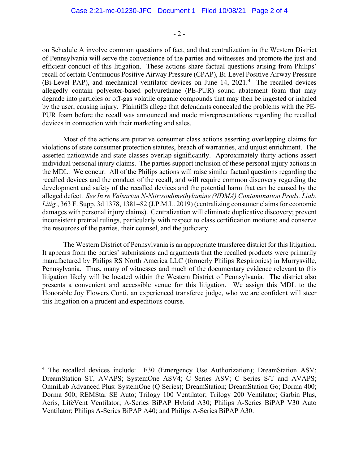$-2 -$ 

on Schedule A involve common questions of fact, and that centralization in the Western District of Pennsylvania will serve the convenience of the parties and witnesses and promote the just and efficient conduct of this litigation. These actions share factual questions arising from Philips' recall of certain Continuous Positive Airway Pressure (CPAP), Bi-Level Positive Airway Pressure (Bi-Level PAP), and mechanical ventilator devices on June 1[4](#page-1-0), 2021.<sup>4</sup> The recalled devices allegedly contain polyester-based polyurethane (PE-PUR) sound abatement foam that may degrade into particles or off-gas volatile organic compounds that may then be ingested or inhaled by the user, causing injury. Plaintiffs allege that defendants concealed the problems with the PE-PUR foam before the recall was announced and made misrepresentations regarding the recalled devices in connection with their marketing and sales.

Most of the actions are putative consumer class actions asserting overlapping claims for violations of state consumer protection statutes, breach of warranties, and unjust enrichment. The asserted nationwide and state classes overlap significantly. Approximately thirty actions assert individual personal injury claims. The parties support inclusion of these personal injury actions in the MDL. We concur. All of the Philips actions will raise similar factual questions regarding the recalled devices and the conduct of the recall, and will require common discovery regarding the development and safety of the recalled devices and the potential harm that can be caused by the alleged defect. *See In re Valsartan N-Nitrosodimethylamine (NDMA) Contamination Prods. Liab. Litig.*, 363 F. Supp. 3d 1378, 1381–82 (J.P.M.L. 2019) (centralizing consumer claims for economic damages with personal injury claims). Centralization will eliminate duplicative discovery; prevent inconsistent pretrial rulings, particularly with respect to class certification motions; and conserve the resources of the parties, their counsel, and the judiciary.

The Western District of Pennsylvania is an appropriate transferee district for this litigation. It appears from the parties' submissions and arguments that the recalled products were primarily manufactured by Philips RS North America LLC (formerly Philips Respironics) in Murrysville, Pennsylvania. Thus, many of witnesses and much of the documentary evidence relevant to this litigation likely will be located within the Western District of Pennsylvania. The district also presents a convenient and accessible venue for this litigation. We assign this MDL to the Honorable Joy Flowers Conti, an experienced transferee judge, who we are confident will steer this litigation on a prudent and expeditious course.

<span id="page-1-0"></span><sup>&</sup>lt;sup>4</sup> The recalled devices include: E30 (Emergency Use Authorization); DreamStation ASV; DreamStation ST, AVAPS; SystemOne ASV4; C Series ASV; C Series S/T and AVAPS; OmniLab Advanced Plus: SystemOne (Q Series); DreamStation; DreamStation Go; Dorma 400; Dorma 500; REMStar SE Auto; Trilogy 100 Ventilator; Trilogy 200 Ventilator; Garbin Plus, Aeris, LifeVent Ventilator; A-Series BiPAP Hybrid A30; Philips A-Series BiPAP V30 Auto Ventilator; Philips A-Series BiPAP A40; and Philips A-Series BiPAP A30.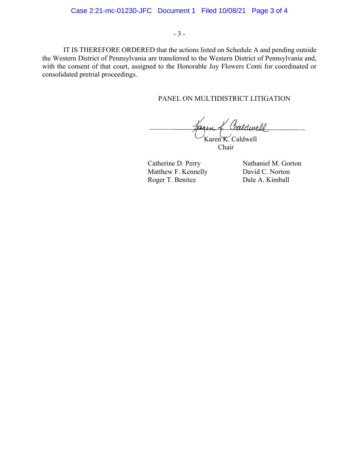IT IS THEREFORE ORDERED that the actions listed on Schedule A and pending outside the Western District of Pennsylvania are transferred to the Western District of Pennsylvania and, with the consent of that court, assigned to the Honorable Joy Flowers Conti for coordinated or consolidated pretrial proceedings.

## PANEL ON MULTIDISTRICT LITIGATION

Karen K. Caldwell

Chair

Matthew F. Kennelly David C. Norton Roger T. Benitez Dale A. Kimball

Catherine D. Perry Nathaniel M. Gorton